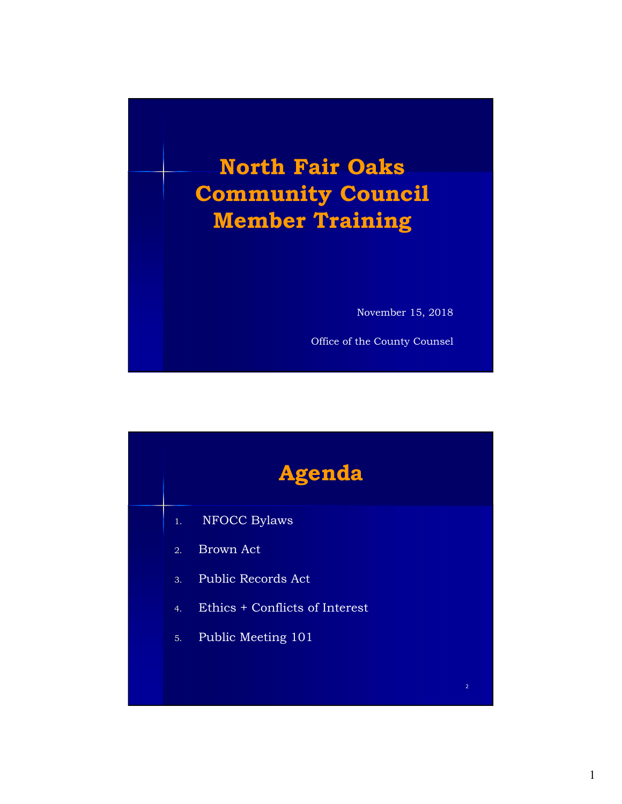

| <b>Agenda</b>    |                                |  |  |                |
|------------------|--------------------------------|--|--|----------------|
| 1.               | <b>NFOCC Bylaws</b>            |  |  |                |
| $\overline{2}$ . | <b>Brown Act</b>               |  |  |                |
| 3.               | Public Records Act             |  |  |                |
| 4.               | Ethics + Conflicts of Interest |  |  |                |
| 5.               | Public Meeting 101             |  |  |                |
|                  |                                |  |  |                |
|                  |                                |  |  | $\overline{2}$ |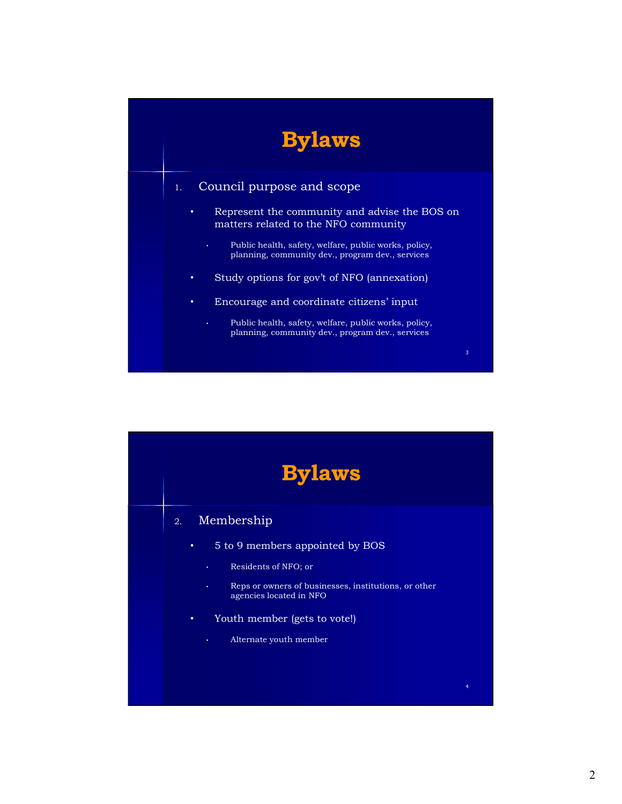

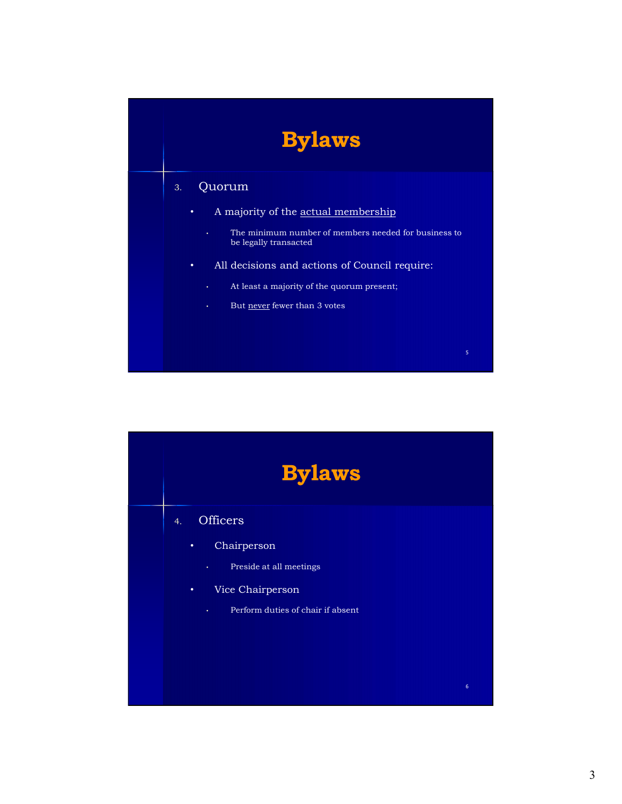## Bylaws

### 3. Quorum

- A majority of the actual membership
- The minimum number of members needed for business to be legally transacted **Bylaws**<br>
Muorum<br>
A majority of the <u>actual membership</u><br>
• The minimum number of members needed for business to<br>
be legally transacted<br>
All decisions and actions of Council require:<br>
• Al least a majority of the quorum pre
- All decisions and actions of Council require:
	- At least a majority of the quorum present;
	-



 $5$  and  $5$  and  $5$  and  $5$  and  $5$  and  $5$  and  $5$  and  $5$  and  $5$  and  $5$  and  $5$  and  $5$  and  $5$  and  $5$  and  $5$  and  $5$  and  $5$  and  $5$  and  $5$  and  $5$  and  $5$  and  $5$  and  $5$  and  $5$  and  $5$  and  $5$  and  $5$  and  $5$  a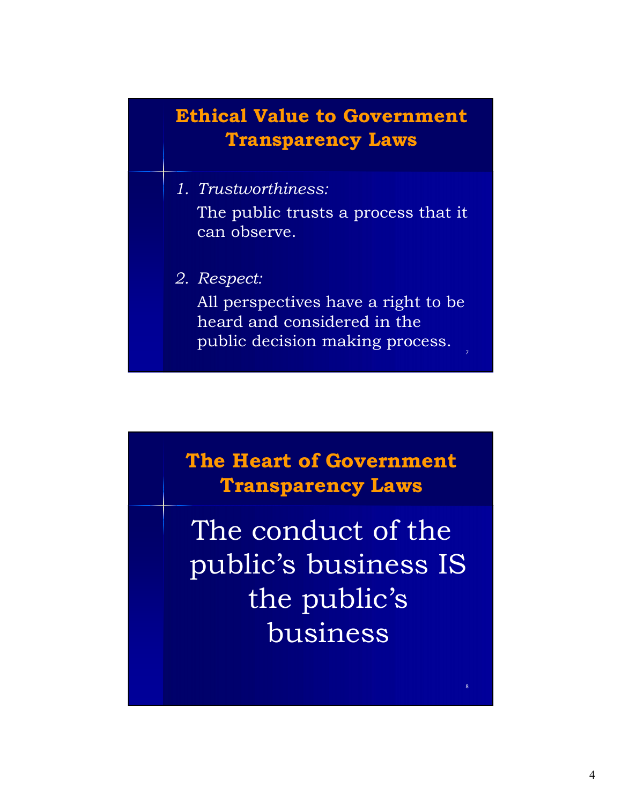### Ethical Value to Government Transparency Laws

- **Ethical Value to Government<br>Transparency Laws**<br>1. Trustworthiness:<br>The public trusts a process that it<br>can observe. The public trusts a process that it can observe. **Ethical Value to Government<br>
Transparency Laws**<br>
1. Trustworthiness:<br>
The public trusts a process that it<br>
can observe.<br>
2. Respect:<br>
All perspectives have a right to be<br>
heard and considered in the<br>
public decision makin
- 

All perspectives have a right to be heard and considered in the public decision making process.

The Heart of Government Transparency Laws

The conduct of the public's business IS the public's business

8. In the second contract of the second contract of the second contract of the second contract of the second contract of the second contract of the second contract of the second contract of the second contract of the secon

 $7$  and  $7$  and  $7$  and  $7$  and  $7$  and  $7$  and  $7$  and  $7$  and  $7$  and  $7$  and  $7$  and  $7$  and  $7$  and  $7$  and  $7$  and  $7$  and  $7$  and  $7$  and  $7$  and  $7$  and  $7$  and  $7$  and  $7$  and  $7$  and  $7$  and  $7$  and  $7$  and  $7$  a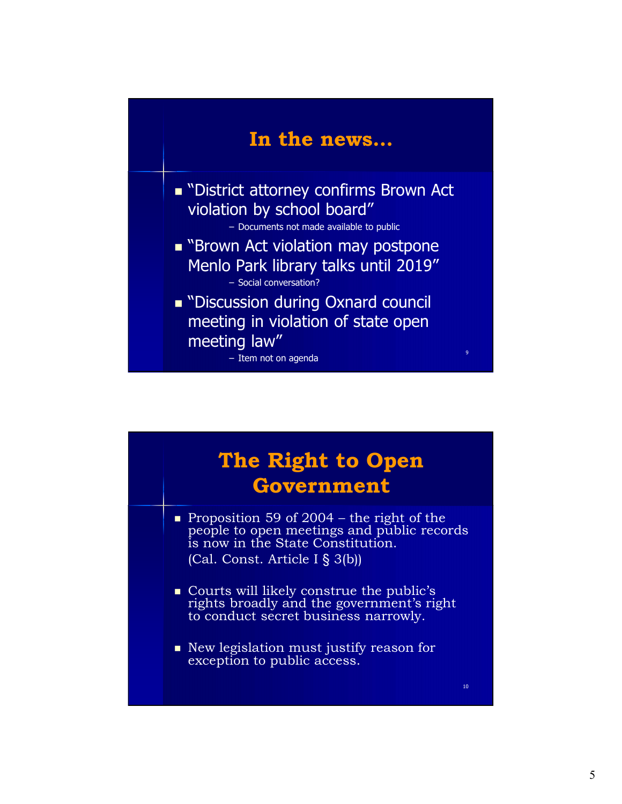

| Menlo Park library talks until 2019"<br>- Social conversation?<br>■ "Discussion during Oxnard council<br>meeting in violation of state open<br>meeting law"<br>9<br>- Item not on agenda                       |  |
|----------------------------------------------------------------------------------------------------------------------------------------------------------------------------------------------------------------|--|
| The Right to Open<br>Government                                                                                                                                                                                |  |
| • Proposition 59 of 2004 – the right of the<br>people to open meetings and public records<br>is now in the State Constitution.<br>(Cal. Const. Article I § 3(b))<br>• Courts will likely construe the public's |  |
| rights broadly and the government's right<br>to conduct secret business narrowly.<br>• New legislation must justify reason for<br>exception to public access.<br>10 <sup>°</sup>                               |  |
|                                                                                                                                                                                                                |  |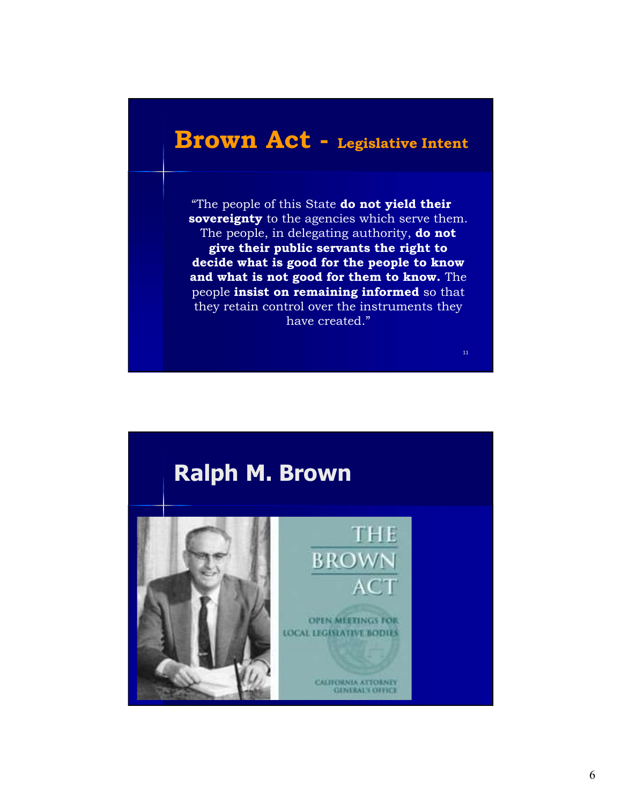### Brown Act - Legislative Intent

"The people of this State do not yield their sovereignty to the agencies which serve them. The people, in delegating authority, do not give their public servants the right to decide what is good for the people to know and what is not good for them to know. The **FOWN ACt** - Legislative Intent<br>
"The people of this State **do not yield their**<br>
sovereignty to the agencies which serve them.<br>
The people, in delegating authority, **do not**<br>
give their public servants the right to<br>
decide they retain control over the instruments they have created."



11 and the contract of the contract of the contract of the contract of the contract of the contract of the contract of the contract of the contract of the contract of the contract of the contract of the contract of the con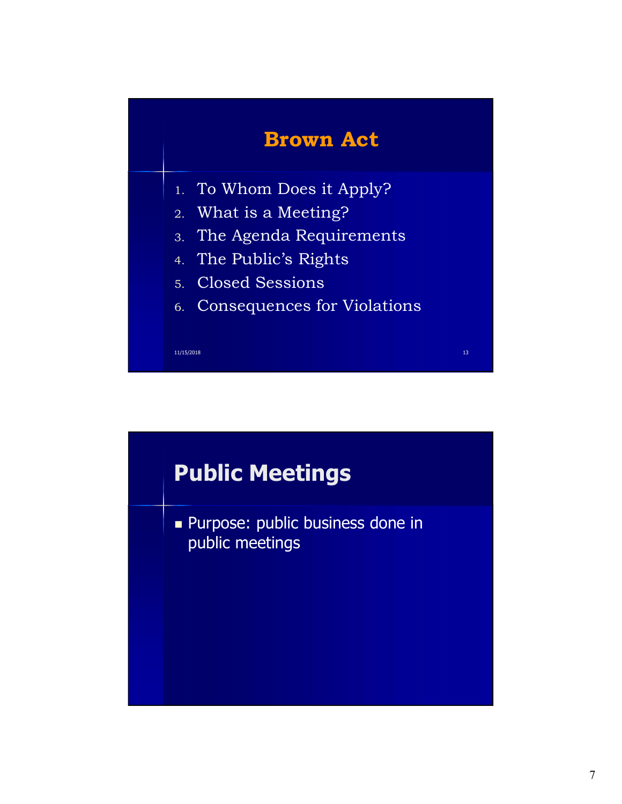

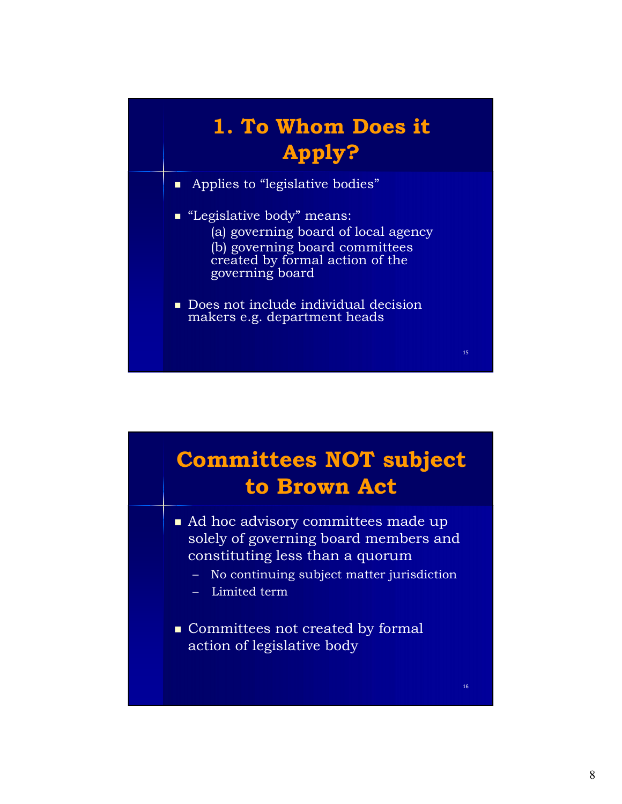## 1. To Whom Does it Apply?

- Applies to "legislative bodies"
- "Legislative body" means: (a) governing board of local agency (b) governing board committees created by formal action of the governing board
- Does not include individual decision makers e.g. department heads



15 and the contract of the contract of the contract of the contract of the contract of the contract of the contract of the contract of the contract of the contract of the contract of the contract of the contract of the con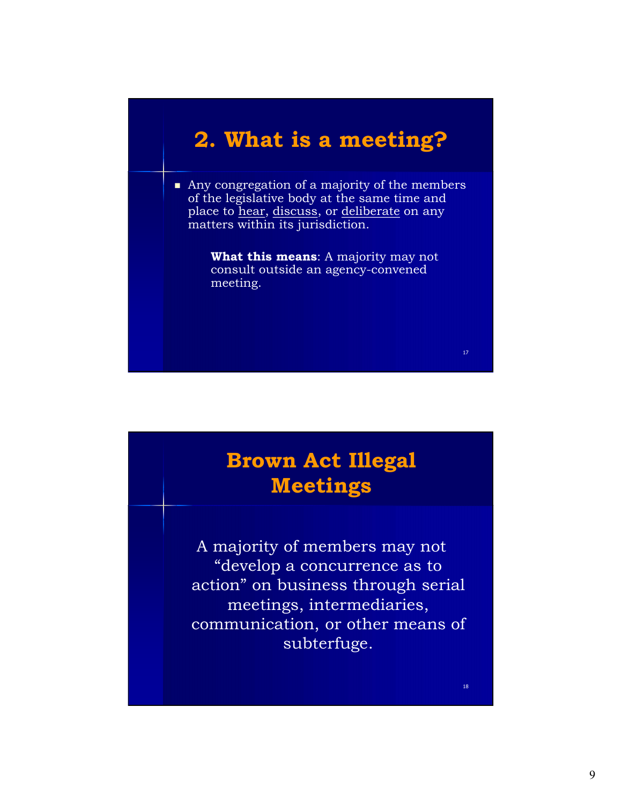### 2. What is a meeting?

Any congregation of a majority of the members of the legislative body at the same time and<br>place to <u>hear, discuss</u>, or deliberate on any **2. What is a meeting?**<br>Any congregation of a majority of the members<br>of the legislative body at the same time and<br>place to hear, discuss, or deliberate on any<br>matters within its jurisdiction.<br>What this means: A majority m matters within its jurisdiction.

What this means: A majority may not consult outside an agency-convened meeting.

### Brown Act Illegal Meetings

A majority of members may not "develop a concurrence as to action" on business through serial meetings, intermediaries, communication, or other means of subterfuge.

18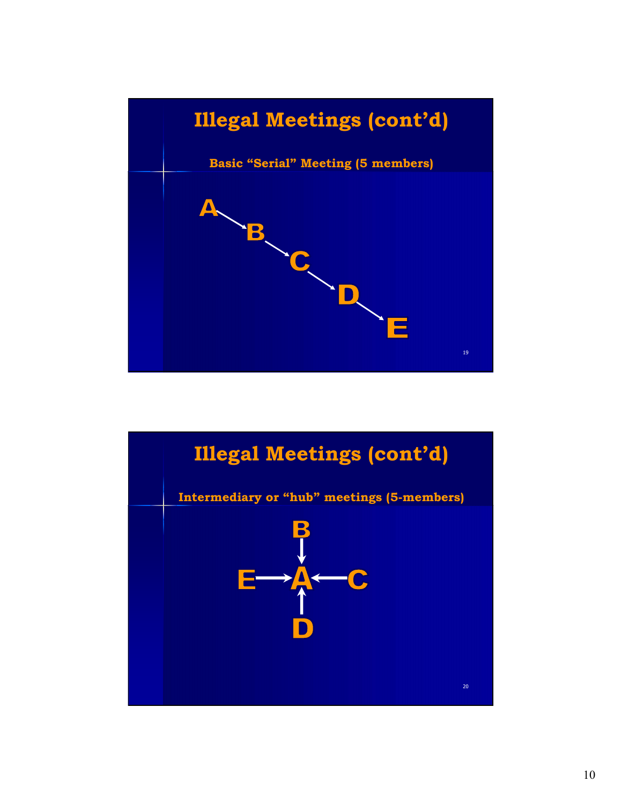

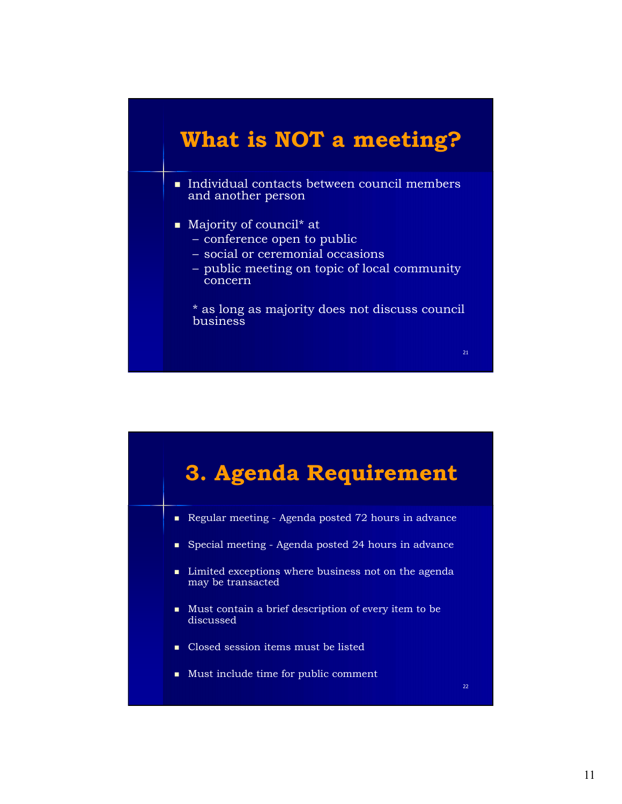### What is NOT a meeting?

- Individual contacts between council members and another person What is NOT a meeting?<br>
Individual contacts between council members<br>
Individual contacts between council members<br>
Majority of council\* at<br>
- conference open to public<br>
- social or ceremonial occasions<br>
- public meeting on What is NOT a meeting?<br>
mdividual contacts between council members<br>
md another person<br>
Majority of council\* at<br>
— conference open to public<br>
— social or ceremonial occasions<br>
— public meeting on topic of local community<br>
— What is NOT a meeting?<br>
mdividual contacts between council members<br>
md another person<br>
Majority of council\* at<br>
– conference open to public<br>
– social or ceremonial occasions<br>
– public meeting on topic of local community<br>
c
- Majority of council<sup>\*</sup> at
	-
	-
	- concern

\* as long as majority does not discuss council business



21 and 21 and 22 and 22 and 22 and 22 and 23 and 24 and 25 and 26 and 26 and 26 and 26 and 26 and 26 and 26 an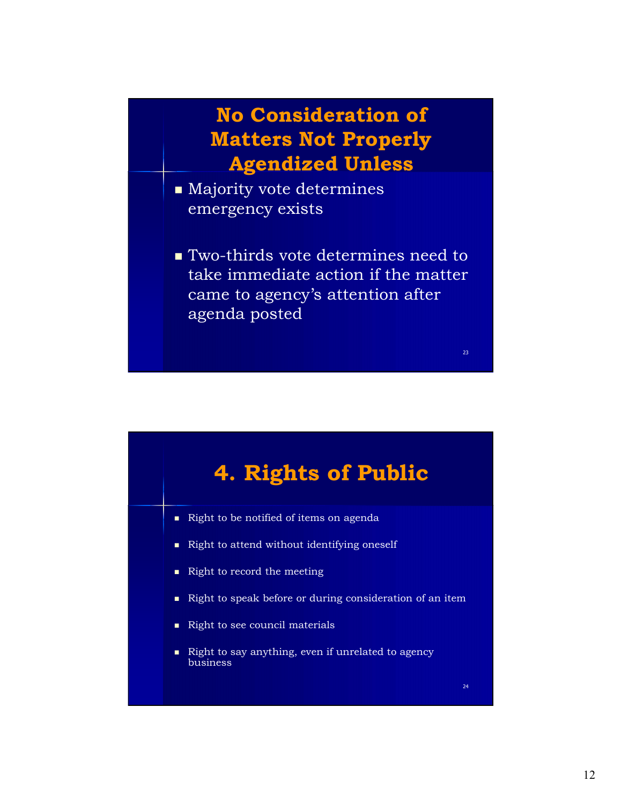### No Consideration of Matters Not Properly Agendized Unless

- **Majority vote determines** emergency exists
- Two-thirds vote determines need to take immediate action if the matter came to agency's attention after agenda posted



23 and 23 and 23 and 24 and 25 and 25 and 26 and 26 and 26 and 26 and 26 and 26 and 26 and 26 and 26 and 26 an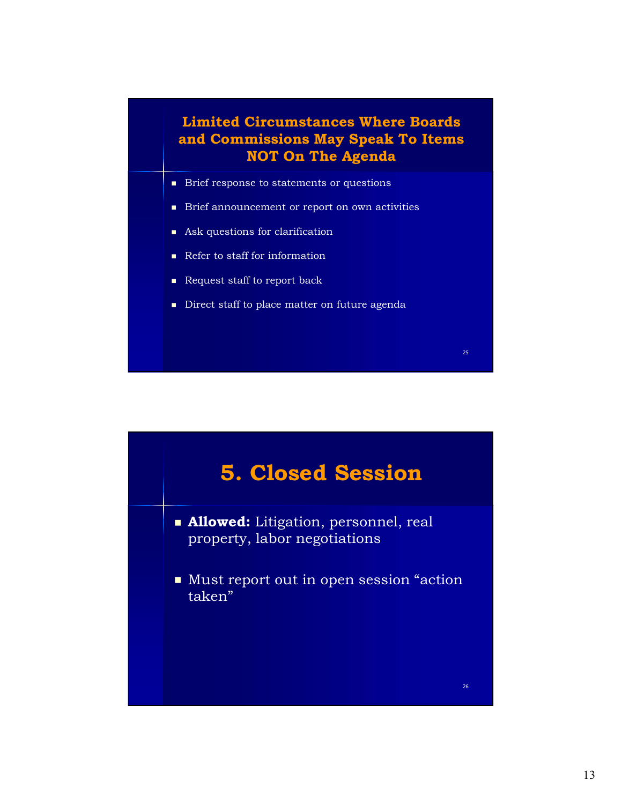### Limited Circumstances Where Boards and Commissions May Speak To Items NOT On The Agenda

- **Brief response to statements or questions**
- **Brief announcement or report on own activities**
- Ask questions for clarification
- Refer to staff for information
- Request staff to report back
- Direct staff to place matter on future agenda



25 and 20 and 20 and 20 and 20 and 20 and 20 and 20 and 20 and 20 and 20 and 20 and 20 and 20 and 20 and 20 an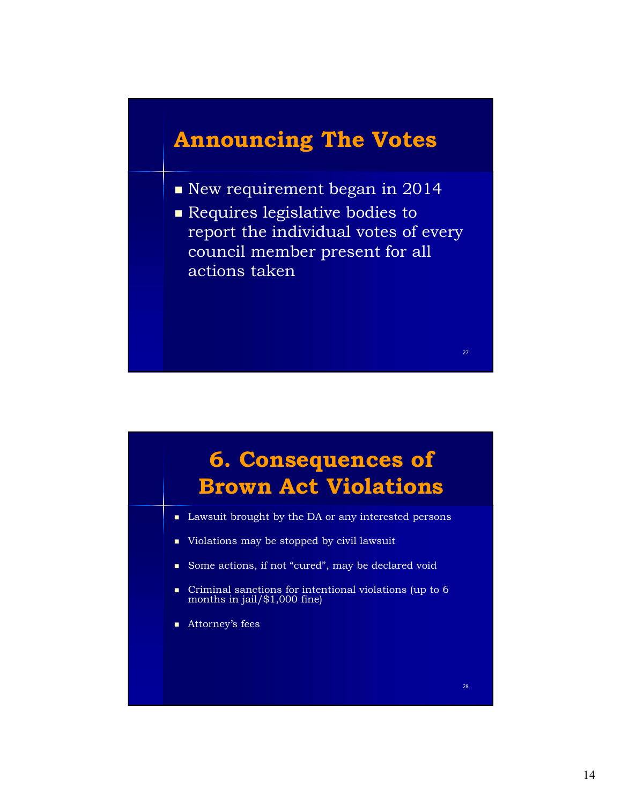### Announcing The Votes

- New requirement began in 2014
- **Requires legislative bodies to** report the individual votes of every council member present for all actions taken



27 and 27 and 27 and 27 and 27 and 27 and 27 and 27 and 27 and 27 and 27 and 27 and 27 and 27 and 27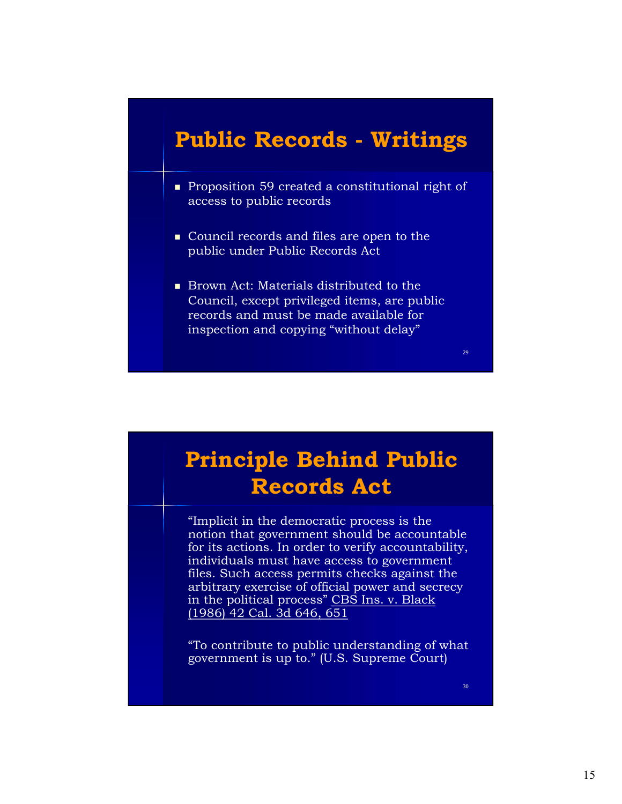- **Public Records Writings**<br>Proposition 59 created a constitutional right of access to public records **Proposition 59 created a constitutional right of** access to public records
- Council records and files are open to the public under Public Records Act
- Brown Act: Materials distributed to the Council, except privileged items, are public records and must be made available for inspection and copying "without delay"

### Principle Behind Public Records Act

"Implicit in the democratic process is the notion that government should be accountable for its actions. In order to verify accountability, individuals must have access to government files. Such access permits checks against the arbitrary exercise of official power and secrecy in the political process" CBS Ins. v. Black (1986) 42 Cal. 3d 646, 651

"To contribute to public understanding of what government is up to." (U.S. Supreme Court)

30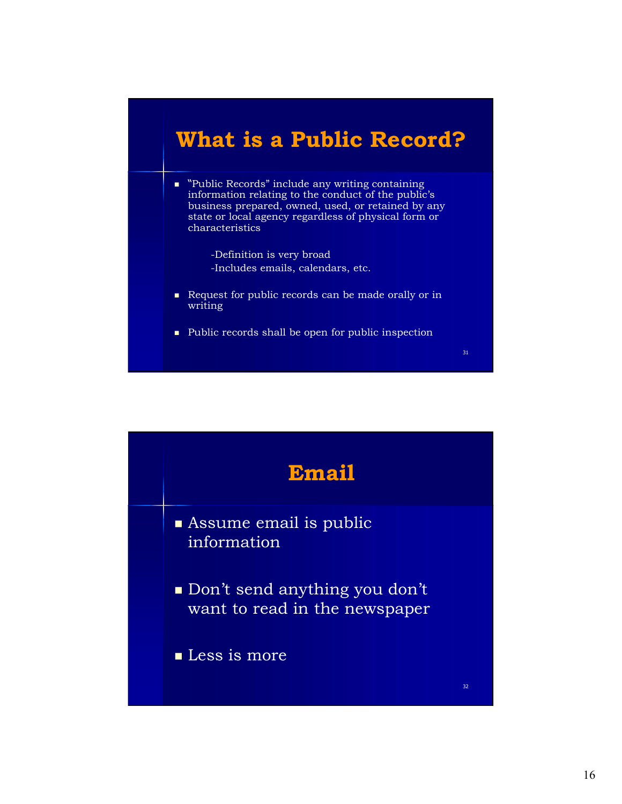### What is a Public Record?

- "Public Records" include any writing containing information relating to the conduct of the public's business prepared, owned, used, or retained by any state or local agency regardless of physical form or characteristics
	- -Definition is very broad -Includes emails, calendars, etc.
- Request for public records can be made orally or in writing
- Public records shall be open for public inspection



31 and the state of the state of the state of the state of the state of the state of the state of the state of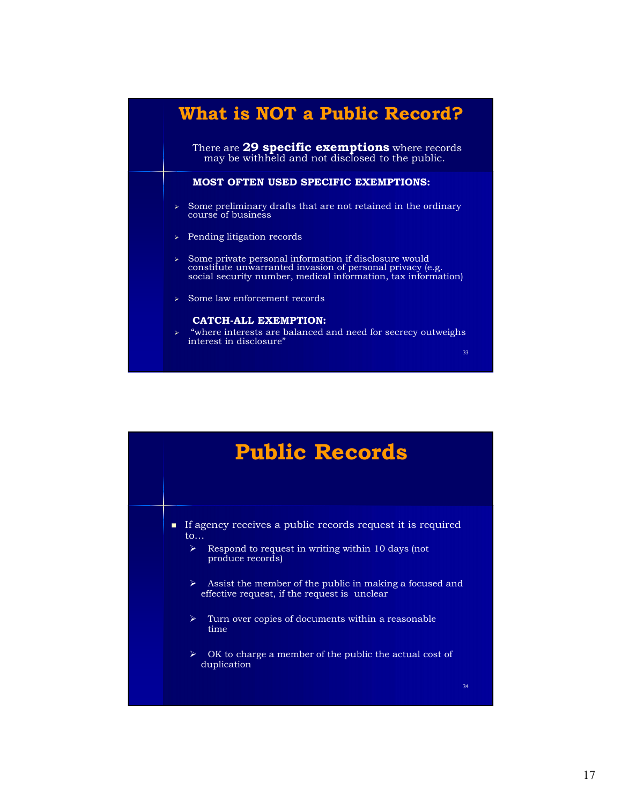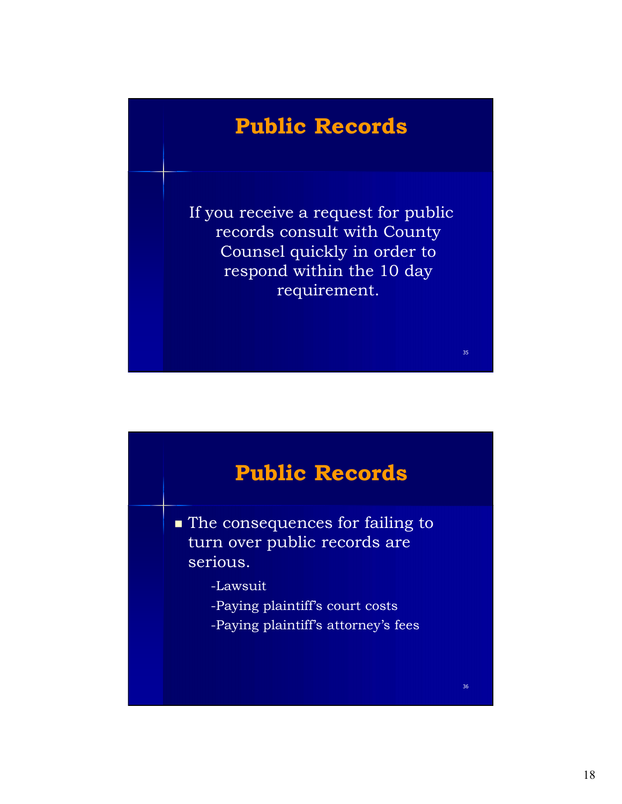### Public Records

If you receive a request for public records consult with County Counsel quickly in order to respond within the 10 day requirement.



35 and the state of the state of the state of the state of the state of the state of the state of the state of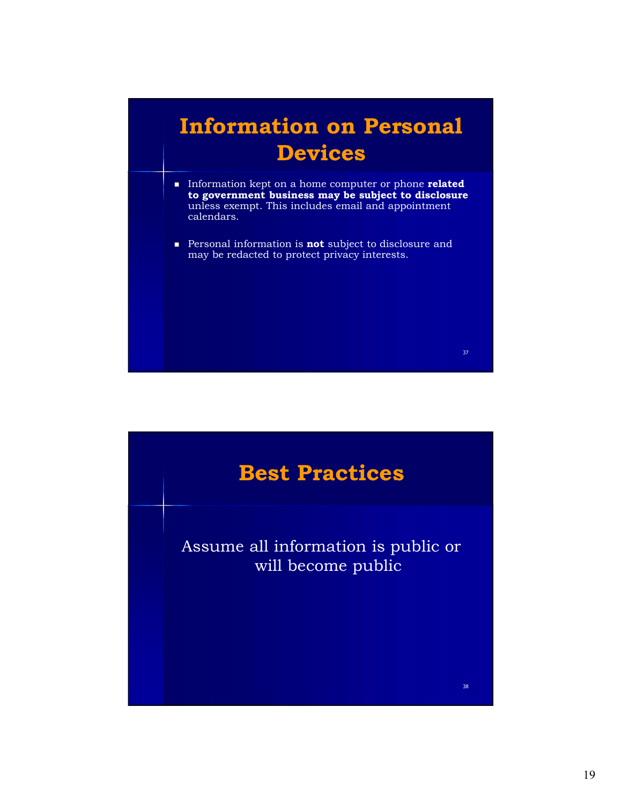

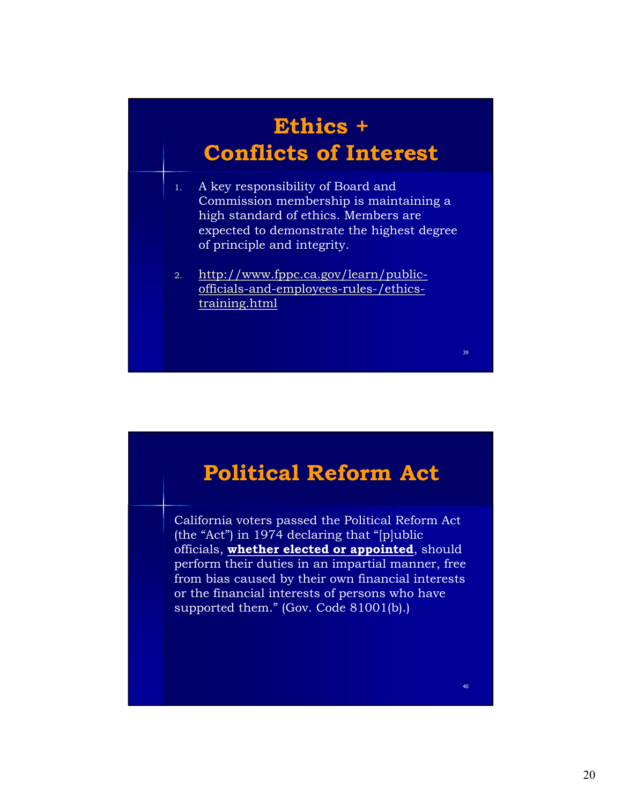### Ethics + Conflicts of Interest

- 1. A key responsibility of Board and Commission membership is maintaining a high standard of ethics. Members are expected to demonstrate the highest degree of principle and integrity.
- 2. http://www.fppc.ca.gov/learn/publicofficials-and-employees-rules-/ethicstraining.html

### Political Reform Act

California voters passed the Political Reform Act (the "Act") in 1974 declaring that "[p]ublic officials, whether elected or appointed, should perform their duties in an impartial manner, free from bias caused by their own financial interests or the financial interests of persons who have supported them." (Gov. Code 81001(b).)

40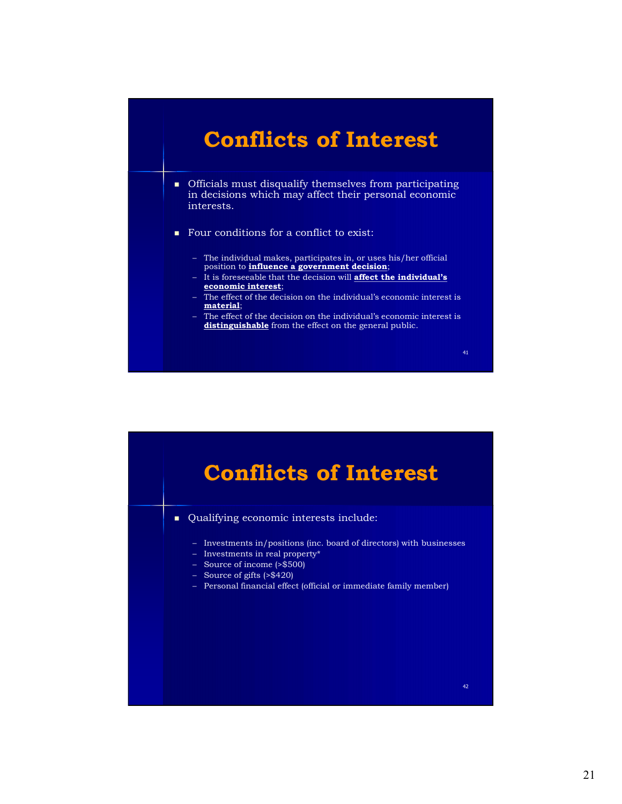### Conflicts of Interest

- Officials must disqualify themselves from participating in decisions which may affect their personal economic interests. **Conflicts of Interest**<br>
Officials must disqualify themselves from participating<br>
in decisions which may affect their personal economic<br>
therests.<br>
Nour conditions for a conflict to exist:<br>
- The individual makes, particip **Conflicts of Interest**<br>
Difficials must disqualify themselves from participating<br>
in decisions which may affect their personal economic<br>
interests.<br>
Nour conditions for a conflict to exist:<br>
- The individual makes, partic **Conflicts of Interest**<br>
Officials must disqualify themselves from participating<br>
Indications which may affect their personal economic<br>
therests.<br>
Four conditions for a conflict to exist:<br>
- The individual makes, participa **Conflicts of Interest**<br>
Officials must disqualify themselves from participating<br>
in decisions which may affect their personal economic<br>
therests.<br>
Cour conditions for a conflict to exist:<br>
The individual makes, participat
- Four conditions for a conflict to exist:
	- The individual makes, participates in, or uses his/her official position to **influence a government decision**;<br>- It is foreseeable that the decision will **affect the individual's**
	- economic interest;
	- material;
	- distinguishable from the effect on the general public.

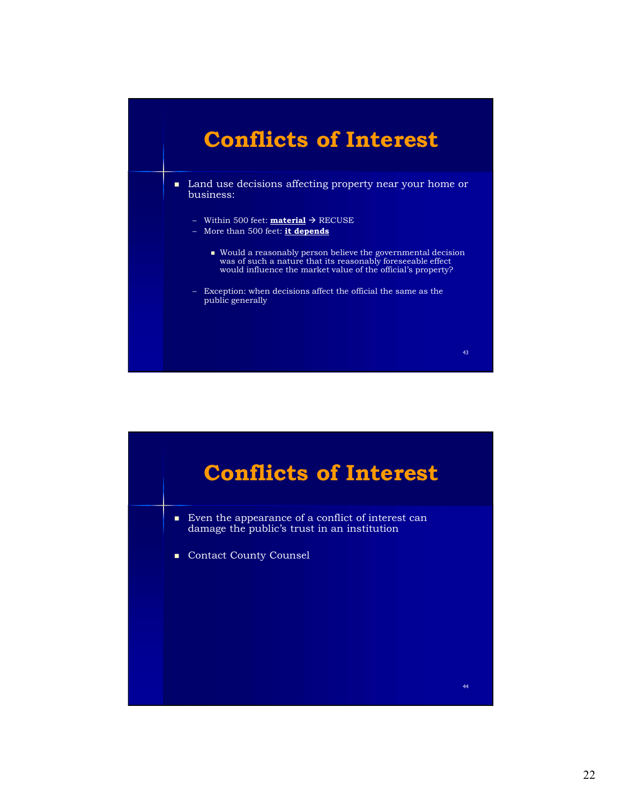

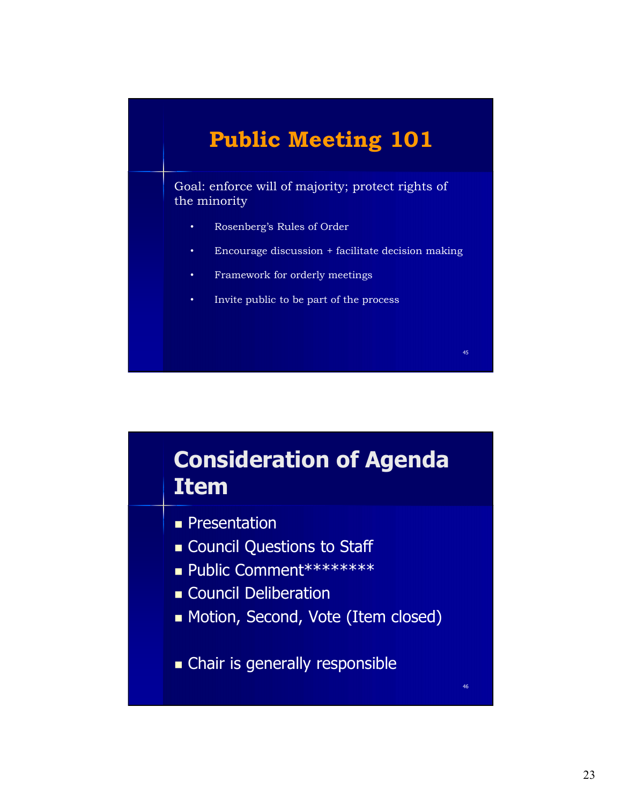### Public Meeting 101

Goal: enforce will of majority; protect rights of the minority

- Rosenberg's Rules of Order
- Encourage discussion + facilitate decision making
- Framework for orderly meetings
- Invite public to be part of the process

### Consideration of Agenda Item

- **Presentation**
- **Council Questions to Staff**
- Public Comment\*\*\*\*\*\*\*\*
- **Council Deliberation**
- Motion, Second, Vote (Item closed)
- Chair is generally responsible